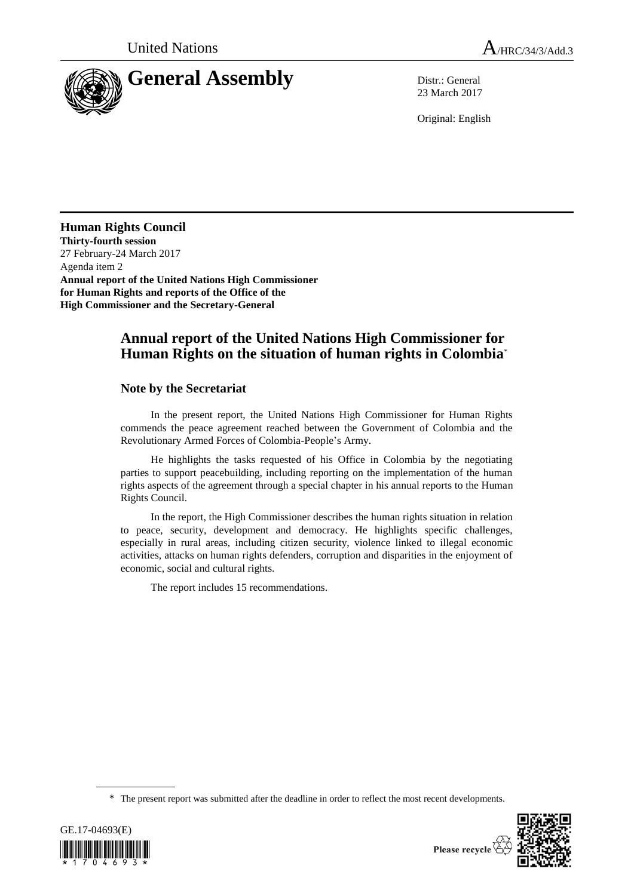

23 March 2017

Original: English

**Human Rights Council Thirty-fourth session** 27 February-24 March 2017 Agenda item 2 **Annual report of the United Nations High Commissioner for Human Rights and reports of the Office of the High Commissioner and the Secretary-General**

# **Annual report of the United Nations High Commissioner for Human Rights on the situation of human rights in Colombia**\*

## **Note by the Secretariat**

In the present report, the United Nations High Commissioner for Human Rights commends the peace agreement reached between the Government of Colombia and the Revolutionary Armed Forces of Colombia-People's Army.

He highlights the tasks requested of his Office in Colombia by the negotiating parties to support peacebuilding, including reporting on the implementation of the human rights aspects of the agreement through a special chapter in his annual reports to the Human Rights Council.

In the report, the High Commissioner describes the human rights situation in relation to peace, security, development and democracy. He highlights specific challenges, especially in rural areas, including citizen security, violence linked to illegal economic activities, attacks on human rights defenders, corruption and disparities in the enjoyment of economic, social and cultural rights.

The report includes 15 recommendations.

<sup>\*</sup> The present report was submitted after the deadline in order to reflect the most recent developments.





Please recycle  $\overleftrightarrow{C}$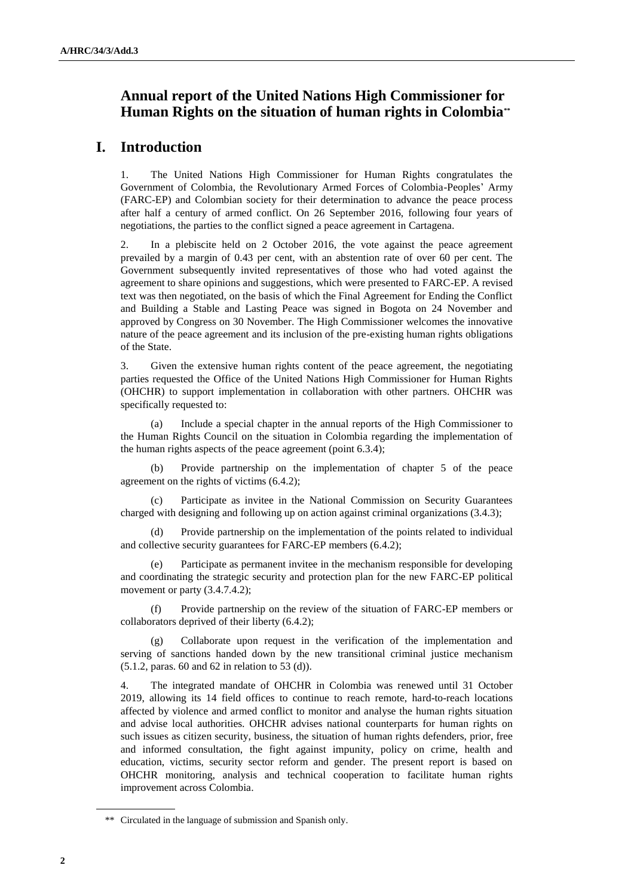# **Annual report of the United Nations High Commissioner for Human Rights on the situation of human rights in Colombia\*\***

# **I. Introduction**

1. The United Nations High Commissioner for Human Rights congratulates the Government of Colombia, the Revolutionary Armed Forces of Colombia-Peoples' Army (FARC-EP) and Colombian society for their determination to advance the peace process after half a century of armed conflict. On 26 September 2016, following four years of negotiations, the parties to the conflict signed a peace agreement in Cartagena.

2. In a plebiscite held on 2 October 2016, the vote against the peace agreement prevailed by a margin of 0.43 per cent, with an abstention rate of over 60 per cent. The Government subsequently invited representatives of those who had voted against the agreement to share opinions and suggestions, which were presented to FARC-EP. A revised text was then negotiated, on the basis of which the Final Agreement for Ending the Conflict and Building a Stable and Lasting Peace was signed in Bogota on 24 November and approved by Congress on 30 November. The High Commissioner welcomes the innovative nature of the peace agreement and its inclusion of the pre-existing human rights obligations of the State.

3. Given the extensive human rights content of the peace agreement, the negotiating parties requested the Office of the United Nations High Commissioner for Human Rights (OHCHR) to support implementation in collaboration with other partners. OHCHR was specifically requested to:

(a) Include a special chapter in the annual reports of the High Commissioner to the Human Rights Council on the situation in Colombia regarding the implementation of the human rights aspects of the peace agreement (point 6.3.4);

(b) Provide partnership on the implementation of chapter 5 of the peace agreement on the rights of victims (6.4.2);

(c) Participate as invitee in the National Commission on Security Guarantees charged with designing and following up on action against criminal organizations (3.4.3);

(d) Provide partnership on the implementation of the points related to individual and collective security guarantees for FARC-EP members (6.4.2);

Participate as permanent invitee in the mechanism responsible for developing and coordinating the strategic security and protection plan for the new FARC-EP political movement or party  $(3.4.7.4.2)$ ;

(f) Provide partnership on the review of the situation of FARC-EP members or collaborators deprived of their liberty (6.4.2);

Collaborate upon request in the verification of the implementation and serving of sanctions handed down by the new transitional criminal justice mechanism (5.1.2, paras. 60 and 62 in relation to 53 (d)).

4. The integrated mandate of OHCHR in Colombia was renewed until 31 October 2019, allowing its 14 field offices to continue to reach remote, hard-to-reach locations affected by violence and armed conflict to monitor and analyse the human rights situation and advise local authorities. OHCHR advises national counterparts for human rights on such issues as citizen security, business, the situation of human rights defenders, prior, free and informed consultation, the fight against impunity, policy on crime, health and education, victims, security sector reform and gender. The present report is based on OHCHR monitoring, analysis and technical cooperation to facilitate human rights improvement across Colombia.

<sup>\*\*</sup> Circulated in the language of submission and Spanish only.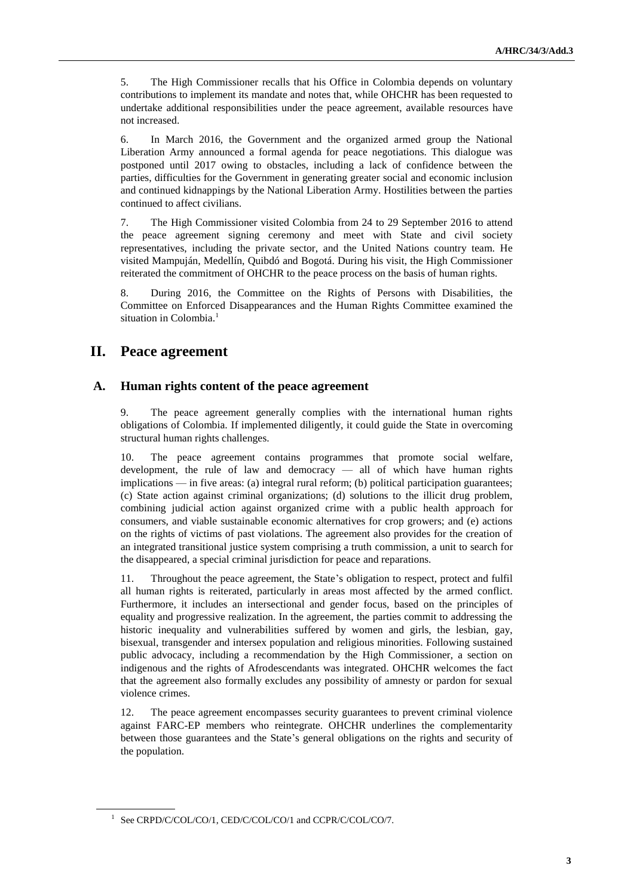5. The High Commissioner recalls that his Office in Colombia depends on voluntary contributions to implement its mandate and notes that, while OHCHR has been requested to undertake additional responsibilities under the peace agreement, available resources have not increased.

6. In March 2016, the Government and the organized armed group the National Liberation Army announced a formal agenda for peace negotiations. This dialogue was postponed until 2017 owing to obstacles, including a lack of confidence between the parties, difficulties for the Government in generating greater social and economic inclusion and continued kidnappings by the National Liberation Army. Hostilities between the parties continued to affect civilians.

7. The High Commissioner visited Colombia from 24 to 29 September 2016 to attend the peace agreement signing ceremony and meet with State and civil society representatives, including the private sector, and the United Nations country team. He visited Mampuján, Medellín, Quibdó and Bogotá. During his visit, the High Commissioner reiterated the commitment of OHCHR to the peace process on the basis of human rights.

8. During 2016, the Committee on the Rights of Persons with Disabilities, the Committee on Enforced Disappearances and the Human Rights Committee examined the situation in Colombia.<sup>1</sup>

## **II. Peace agreement**

## **A. Human rights content of the peace agreement**

9. The peace agreement generally complies with the international human rights obligations of Colombia. If implemented diligently, it could guide the State in overcoming structural human rights challenges.

10. The peace agreement contains programmes that promote social welfare, development, the rule of law and democracy — all of which have human rights implications — in five areas: (a) integral rural reform; (b) political participation guarantees; (c) State action against criminal organizations; (d) solutions to the illicit drug problem, combining judicial action against organized crime with a public health approach for consumers, and viable sustainable economic alternatives for crop growers; and (e) actions on the rights of victims of past violations. The agreement also provides for the creation of an integrated transitional justice system comprising a truth commission, a unit to search for the disappeared, a special criminal jurisdiction for peace and reparations.

11. Throughout the peace agreement, the State's obligation to respect, protect and fulfil all human rights is reiterated, particularly in areas most affected by the armed conflict. Furthermore, it includes an intersectional and gender focus, based on the principles of equality and progressive realization. In the agreement, the parties commit to addressing the historic inequality and vulnerabilities suffered by women and girls, the lesbian, gay, bisexual, transgender and intersex population and religious minorities. Following sustained public advocacy, including a recommendation by the High Commissioner, a section on indigenous and the rights of Afrodescendants was integrated. OHCHR welcomes the fact that the agreement also formally excludes any possibility of amnesty or pardon for sexual violence crimes.

12. The peace agreement encompasses security guarantees to prevent criminal violence against FARC-EP members who reintegrate. OHCHR underlines the complementarity between those guarantees and the State's general obligations on the rights and security of the population.

<sup>&</sup>lt;sup>1</sup> See CRPD/C/COL/CO/1, CED/C/COL/CO/1 and CCPR/C/COL/CO/7.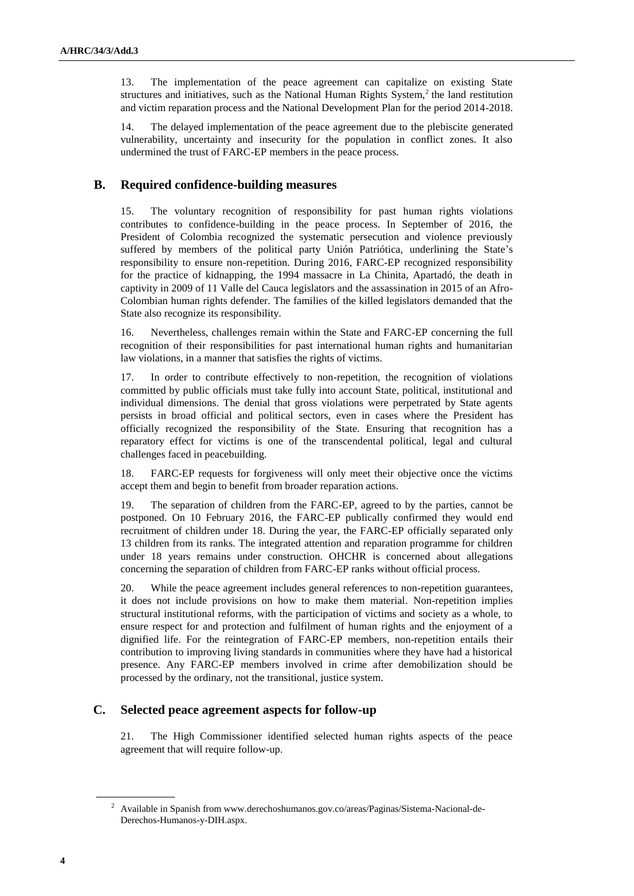13. The implementation of the peace agreement can capitalize on existing State structures and initiatives, such as the National Human Rights System, $<sup>2</sup>$  the land restitution</sup> and victim reparation process and the National Development Plan for the period 2014-2018.

14. The delayed implementation of the peace agreement due to the plebiscite generated vulnerability, uncertainty and insecurity for the population in conflict zones. It also undermined the trust of FARC-EP members in the peace process.

## **B. Required confidence-building measures**

15. The voluntary recognition of responsibility for past human rights violations contributes to confidence-building in the peace process. In September of 2016, the President of Colombia recognized the systematic persecution and violence previously suffered by members of the political party Unión Patriótica, underlining the State's responsibility to ensure non-repetition. During 2016, FARC-EP recognized responsibility for the practice of kidnapping, the 1994 massacre in La Chinita, Apartadó, the death in captivity in 2009 of 11 Valle del Cauca legislators and the assassination in 2015 of an Afro-Colombian human rights defender. The families of the killed legislators demanded that the State also recognize its responsibility.

16. Nevertheless, challenges remain within the State and FARC-EP concerning the full recognition of their responsibilities for past international human rights and humanitarian law violations, in a manner that satisfies the rights of victims.

17. In order to contribute effectively to non-repetition, the recognition of violations committed by public officials must take fully into account State, political, institutional and individual dimensions. The denial that gross violations were perpetrated by State agents persists in broad official and political sectors, even in cases where the President has officially recognized the responsibility of the State. Ensuring that recognition has a reparatory effect for victims is one of the transcendental political, legal and cultural challenges faced in peacebuilding.

18. FARC-EP requests for forgiveness will only meet their objective once the victims accept them and begin to benefit from broader reparation actions.

19. The separation of children from the FARC-EP, agreed to by the parties, cannot be postponed. On 10 February 2016, the FARC-EP publically confirmed they would end recruitment of children under 18. During the year, the FARC-EP officially separated only 13 children from its ranks. The integrated attention and reparation programme for children under 18 years remains under construction. OHCHR is concerned about allegations concerning the separation of children from FARC-EP ranks without official process.

20. While the peace agreement includes general references to non-repetition guarantees, it does not include provisions on how to make them material. Non-repetition implies structural institutional reforms, with the participation of victims and society as a whole, to ensure respect for and protection and fulfilment of human rights and the enjoyment of a dignified life. For the reintegration of FARC-EP members, non-repetition entails their contribution to improving living standards in communities where they have had a historical presence. Any FARC-EP members involved in crime after demobilization should be processed by the ordinary, not the transitional, justice system.

### **C. Selected peace agreement aspects for follow-up**

21. The High Commissioner identified selected human rights aspects of the peace agreement that will require follow-up.

<sup>2</sup> Available in Spanish from www.derechoshumanos.gov.co/areas/Paginas/Sistema-Nacional-de-Derechos-Humanos-y-DIH.aspx.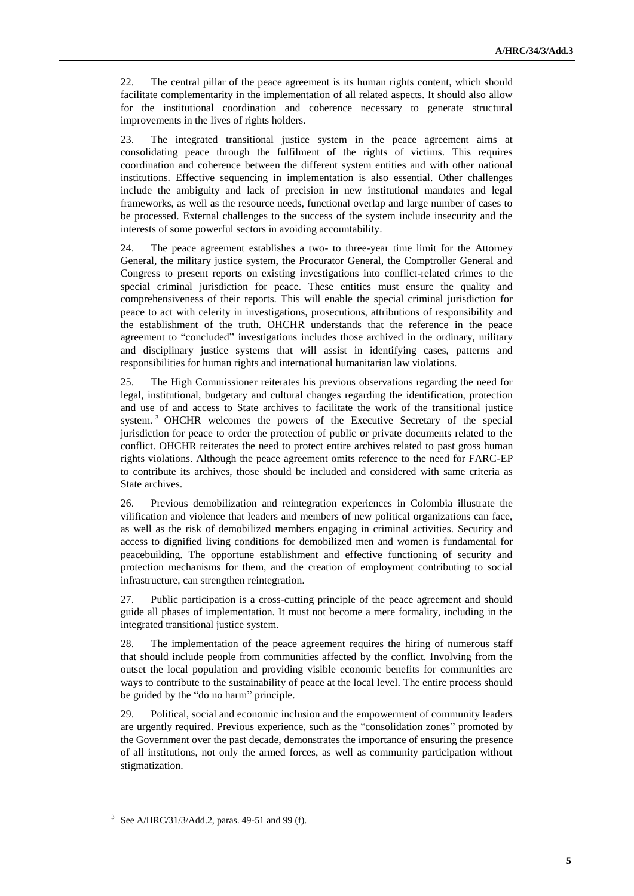22. The central pillar of the peace agreement is its human rights content, which should facilitate complementarity in the implementation of all related aspects. It should also allow for the institutional coordination and coherence necessary to generate structural improvements in the lives of rights holders.

23. The integrated transitional justice system in the peace agreement aims at consolidating peace through the fulfilment of the rights of victims. This requires coordination and coherence between the different system entities and with other national institutions. Effective sequencing in implementation is also essential. Other challenges include the ambiguity and lack of precision in new institutional mandates and legal frameworks, as well as the resource needs, functional overlap and large number of cases to be processed. External challenges to the success of the system include insecurity and the interests of some powerful sectors in avoiding accountability.

24. The peace agreement establishes a two- to three-year time limit for the Attorney General, the military justice system, the Procurator General, the Comptroller General and Congress to present reports on existing investigations into conflict-related crimes to the special criminal jurisdiction for peace. These entities must ensure the quality and comprehensiveness of their reports. This will enable the special criminal jurisdiction for peace to act with celerity in investigations, prosecutions, attributions of responsibility and the establishment of the truth. OHCHR understands that the reference in the peace agreement to "concluded" investigations includes those archived in the ordinary, military and disciplinary justice systems that will assist in identifying cases, patterns and responsibilities for human rights and international humanitarian law violations.

25. The High Commissioner reiterates his previous observations regarding the need for legal, institutional, budgetary and cultural changes regarding the identification, protection and use of and access to State archives to facilitate the work of the transitional justice system.<sup>3</sup> OHCHR welcomes the powers of the Executive Secretary of the special jurisdiction for peace to order the protection of public or private documents related to the conflict. OHCHR reiterates the need to protect entire archives related to past gross human rights violations. Although the peace agreement omits reference to the need for FARC-EP to contribute its archives, those should be included and considered with same criteria as State archives.

26. Previous demobilization and reintegration experiences in Colombia illustrate the vilification and violence that leaders and members of new political organizations can face, as well as the risk of demobilized members engaging in criminal activities. Security and access to dignified living conditions for demobilized men and women is fundamental for peacebuilding. The opportune establishment and effective functioning of security and protection mechanisms for them, and the creation of employment contributing to social infrastructure, can strengthen reintegration.

27. Public participation is a cross-cutting principle of the peace agreement and should guide all phases of implementation. It must not become a mere formality, including in the integrated transitional justice system.

28. The implementation of the peace agreement requires the hiring of numerous staff that should include people from communities affected by the conflict. Involving from the outset the local population and providing visible economic benefits for communities are ways to contribute to the sustainability of peace at the local level. The entire process should be guided by the "do no harm" principle.

29. Political, social and economic inclusion and the empowerment of community leaders are urgently required. Previous experience, such as the "consolidation zones" promoted by the Government over the past decade, demonstrates the importance of ensuring the presence of all institutions, not only the armed forces, as well as community participation without stigmatization.

<sup>&</sup>lt;sup>3</sup> See A/HRC/31/3/Add.2, paras. 49-51 and 99 (f).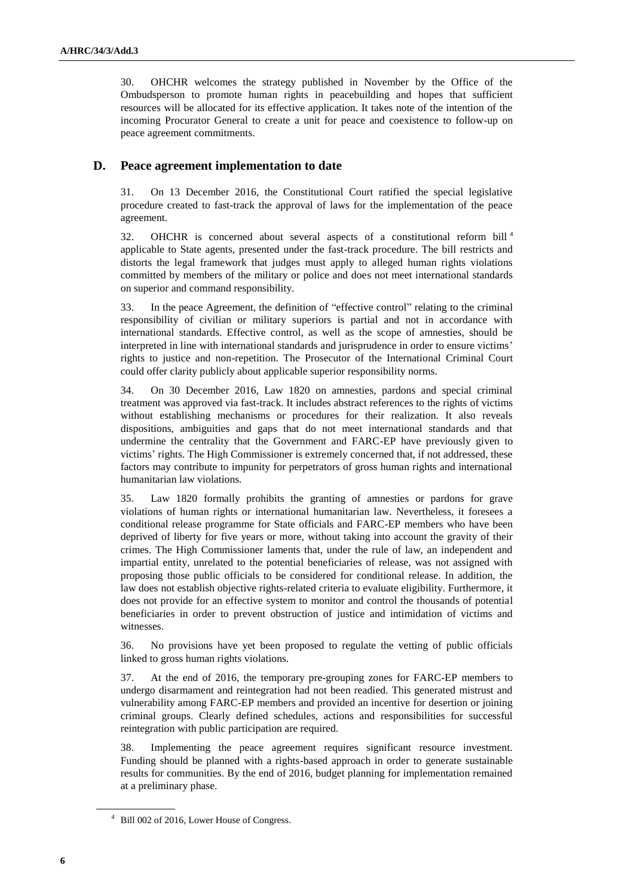30. OHCHR welcomes the strategy published in November by the Office of the Ombudsperson to promote human rights in peacebuilding and hopes that sufficient resources will be allocated for its effective application. It takes note of the intention of the incoming Procurator General to create a unit for peace and coexistence to follow-up on peace agreement commitments.

#### **D. Peace agreement implementation to date**

31. On 13 December 2016, the Constitutional Court ratified the special legislative procedure created to fast-track the approval of laws for the implementation of the peace agreement.

32. OHCHR is concerned about several aspects of a constitutional reform bill <sup>4</sup> applicable to State agents, presented under the fast-track procedure. The bill restricts and distorts the legal framework that judges must apply to alleged human rights violations committed by members of the military or police and does not meet international standards on superior and command responsibility.

33. In the peace Agreement, the definition of "effective control" relating to the criminal responsibility of civilian or military superiors is partial and not in accordance with international standards. Effective control, as well as the scope of amnesties, should be interpreted in line with international standards and jurisprudence in order to ensure victims' rights to justice and non-repetition. The Prosecutor of the International Criminal Court could offer clarity publicly about applicable superior responsibility norms.

34. On 30 December 2016, Law 1820 on amnesties, pardons and special criminal treatment was approved via fast-track. It includes abstract references to the rights of victims without establishing mechanisms or procedures for their realization. It also reveals dispositions, ambiguities and gaps that do not meet international standards and that undermine the centrality that the Government and FARC-EP have previously given to victims' rights. The High Commissioner is extremely concerned that, if not addressed, these factors may contribute to impunity for perpetrators of gross human rights and international humanitarian law violations.

35. Law 1820 formally prohibits the granting of amnesties or pardons for grave violations of human rights or international humanitarian law. Nevertheless, it foresees a conditional release programme for State officials and FARC-EP members who have been deprived of liberty for five years or more, without taking into account the gravity of their crimes. The High Commissioner laments that, under the rule of law, an independent and impartial entity, unrelated to the potential beneficiaries of release, was not assigned with proposing those public officials to be considered for conditional release. In addition, the law does not establish objective rights-related criteria to evaluate eligibility. Furthermore, it does not provide for an effective system to monitor and control the thousands of potential beneficiaries in order to prevent obstruction of justice and intimidation of victims and witnesses.

36. No provisions have yet been proposed to regulate the vetting of public officials linked to gross human rights violations.

37. At the end of 2016, the temporary pre-grouping zones for FARC-EP members to undergo disarmament and reintegration had not been readied. This generated mistrust and vulnerability among FARC-EP members and provided an incentive for desertion or joining criminal groups. Clearly defined schedules, actions and responsibilities for successful reintegration with public participation are required.

38. Implementing the peace agreement requires significant resource investment. Funding should be planned with a rights-based approach in order to generate sustainable results for communities. By the end of 2016, budget planning for implementation remained at a preliminary phase.

<sup>4</sup> Bill 002 of 2016, Lower House of Congress.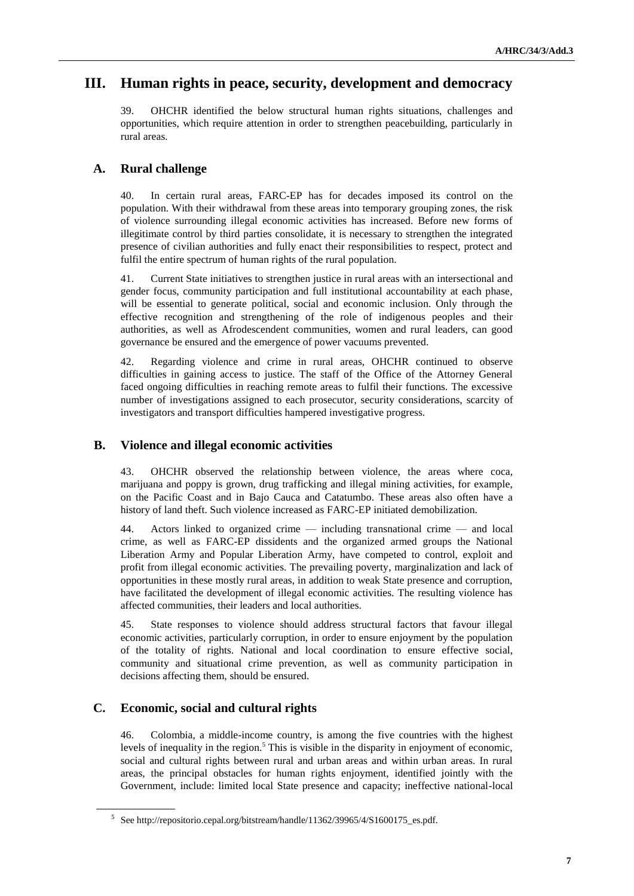# **III. Human rights in peace, security, development and democracy**

39. OHCHR identified the below structural human rights situations, challenges and opportunities, which require attention in order to strengthen peacebuilding, particularly in rural areas.

## **A. Rural challenge**

40. In certain rural areas, FARC-EP has for decades imposed its control on the population. With their withdrawal from these areas into temporary grouping zones, the risk of violence surrounding illegal economic activities has increased. Before new forms of illegitimate control by third parties consolidate, it is necessary to strengthen the integrated presence of civilian authorities and fully enact their responsibilities to respect, protect and fulfil the entire spectrum of human rights of the rural population.

41. Current State initiatives to strengthen justice in rural areas with an intersectional and gender focus, community participation and full institutional accountability at each phase, will be essential to generate political, social and economic inclusion. Only through the effective recognition and strengthening of the role of indigenous peoples and their authorities, as well as Afrodescendent communities, women and rural leaders, can good governance be ensured and the emergence of power vacuums prevented.

42. Regarding violence and crime in rural areas, OHCHR continued to observe difficulties in gaining access to justice. The staff of the Office of the Attorney General faced ongoing difficulties in reaching remote areas to fulfil their functions. The excessive number of investigations assigned to each prosecutor, security considerations, scarcity of investigators and transport difficulties hampered investigative progress.

## **B. Violence and illegal economic activities**

43. OHCHR observed the relationship between violence, the areas where coca, marijuana and poppy is grown, drug trafficking and illegal mining activities, for example, on the Pacific Coast and in Bajo Cauca and Catatumbo. These areas also often have a history of land theft. Such violence increased as FARC-EP initiated demobilization.

44. Actors linked to organized crime — including transnational crime — and local crime, as well as FARC-EP dissidents and the organized armed groups the National Liberation Army and Popular Liberation Army, have competed to control, exploit and profit from illegal economic activities. The prevailing poverty, marginalization and lack of opportunities in these mostly rural areas, in addition to weak State presence and corruption, have facilitated the development of illegal economic activities. The resulting violence has affected communities, their leaders and local authorities.

45. State responses to violence should address structural factors that favour illegal economic activities, particularly corruption, in order to ensure enjoyment by the population of the totality of rights. National and local coordination to ensure effective social, community and situational crime prevention, as well as community participation in decisions affecting them, should be ensured.

## **C. Economic, social and cultural rights**

46. Colombia, a middle-income country, is among the five countries with the highest levels of inequality in the region.<sup>5</sup> This is visible in the disparity in enjoyment of economic, social and cultural rights between rural and urban areas and within urban areas. In rural areas, the principal obstacles for human rights enjoyment, identified jointly with the Government, include: limited local State presence and capacity; ineffective national-local

<sup>&</sup>lt;sup>5</sup> See http://repositorio.cepal.org/bitstream/handle/11362/39965/4/S1600175\_es.pdf.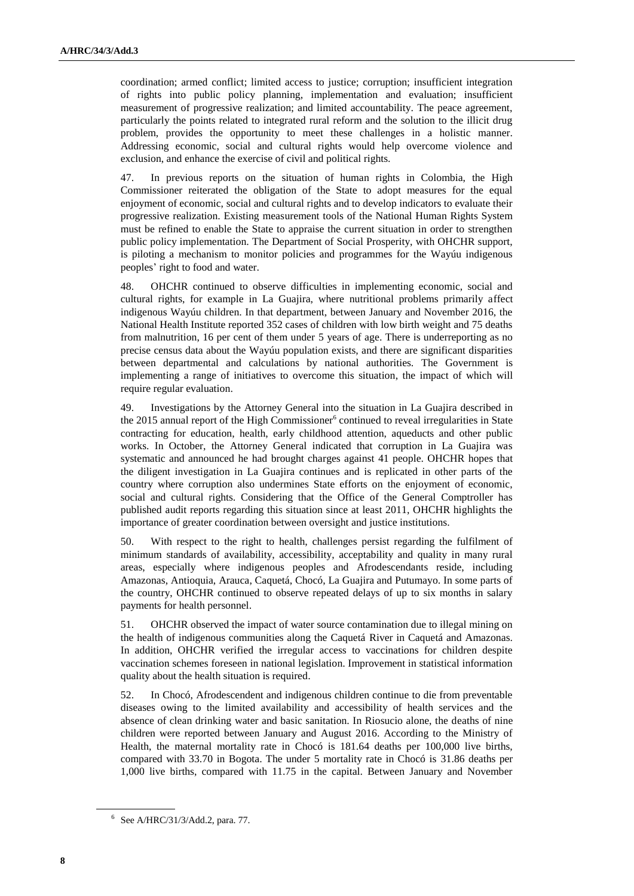coordination; armed conflict; limited access to justice; corruption; insufficient integration of rights into public policy planning, implementation and evaluation; insufficient measurement of progressive realization; and limited accountability. The peace agreement, particularly the points related to integrated rural reform and the solution to the illicit drug problem, provides the opportunity to meet these challenges in a holistic manner. Addressing economic, social and cultural rights would help overcome violence and exclusion, and enhance the exercise of civil and political rights.

47. In previous reports on the situation of human rights in Colombia, the High Commissioner reiterated the obligation of the State to adopt measures for the equal enjoyment of economic, social and cultural rights and to develop indicators to evaluate their progressive realization. Existing measurement tools of the National Human Rights System must be refined to enable the State to appraise the current situation in order to strengthen public policy implementation. The Department of Social Prosperity, with OHCHR support, is piloting a mechanism to monitor policies and programmes for the Wayúu indigenous peoples' right to food and water.

48. OHCHR continued to observe difficulties in implementing economic, social and cultural rights, for example in La Guajira, where nutritional problems primarily affect indigenous Wayúu children. In that department, between January and November 2016, the National Health Institute reported 352 cases of children with low birth weight and 75 deaths from malnutrition, 16 per cent of them under 5 years of age. There is underreporting as no precise census data about the Wayúu population exists, and there are significant disparities between departmental and calculations by national authorities. The Government is implementing a range of initiatives to overcome this situation, the impact of which will require regular evaluation.

49. Investigations by the Attorney General into the situation in La Guajira described in the  $2015$  annual report of the High Commissioner<sup>6</sup> continued to reveal irregularities in State contracting for education, health, early childhood attention, aqueducts and other public works. In October, the Attorney General indicated that corruption in La Guajira was systematic and announced he had brought charges against 41 people. OHCHR hopes that the diligent investigation in La Guajira continues and is replicated in other parts of the country where corruption also undermines State efforts on the enjoyment of economic, social and cultural rights. Considering that the Office of the General Comptroller has published audit reports regarding this situation since at least 2011, OHCHR highlights the importance of greater coordination between oversight and justice institutions.

50. With respect to the right to health, challenges persist regarding the fulfilment of minimum standards of availability, accessibility, acceptability and quality in many rural areas, especially where indigenous peoples and Afrodescendants reside, including Amazonas, Antioquia, Arauca, Caquetá, Chocó, La Guajira and Putumayo. In some parts of the country, OHCHR continued to observe repeated delays of up to six months in salary payments for health personnel.

51. OHCHR observed the impact of water source contamination due to illegal mining on the health of indigenous communities along the Caquetá River in Caquetá and Amazonas. In addition, OHCHR verified the irregular access to vaccinations for children despite vaccination schemes foreseen in national legislation. Improvement in statistical information quality about the health situation is required.

52. In Chocó, Afrodescendent and indigenous children continue to die from preventable diseases owing to the limited availability and accessibility of health services and the absence of clean drinking water and basic sanitation. In Riosucio alone, the deaths of nine children were reported between January and August 2016. According to the Ministry of Health, the maternal mortality rate in Chocó is 181.64 deaths per 100,000 live births, compared with 33.70 in Bogota. The under 5 mortality rate in Chocó is 31.86 deaths per 1,000 live births, compared with 11.75 in the capital. Between January and November

<sup>6</sup> See A/HRC/31/3/Add.2, para. 77.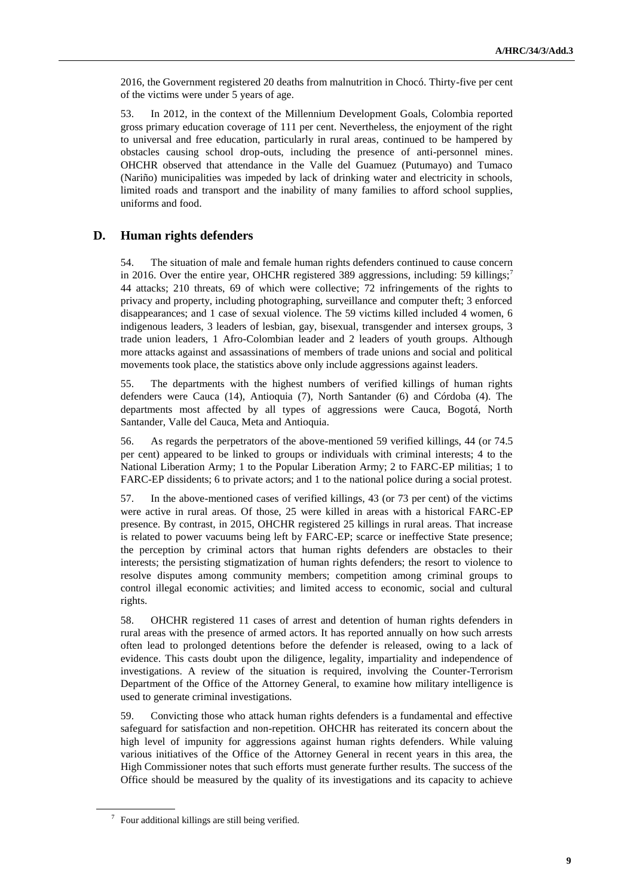2016, the Government registered 20 deaths from malnutrition in Chocó. Thirty-five per cent of the victims were under 5 years of age.

53. In 2012, in the context of the Millennium Development Goals, Colombia reported gross primary education coverage of 111 per cent. Nevertheless, the enjoyment of the right to universal and free education, particularly in rural areas, continued to be hampered by obstacles causing school drop-outs, including the presence of anti-personnel mines. OHCHR observed that attendance in the Valle del Guamuez (Putumayo) and Tumaco (Nariño) municipalities was impeded by lack of drinking water and electricity in schools, limited roads and transport and the inability of many families to afford school supplies, uniforms and food.

## **D. Human rights defenders**

54. The situation of male and female human rights defenders continued to cause concern in 2016. Over the entire year, OHCHR registered 389 aggressions, including: 59 killings;<sup>7</sup> 44 attacks; 210 threats, 69 of which were collective; 72 infringements of the rights to privacy and property, including photographing, surveillance and computer theft; 3 enforced disappearances; and 1 case of sexual violence. The 59 victims killed included 4 women, 6 indigenous leaders, 3 leaders of lesbian, gay, bisexual, transgender and intersex groups, 3 trade union leaders, 1 Afro-Colombian leader and 2 leaders of youth groups. Although more attacks against and assassinations of members of trade unions and social and political movements took place, the statistics above only include aggressions against leaders.

55. The departments with the highest numbers of verified killings of human rights defenders were Cauca (14), Antioquia (7), North Santander (6) and Córdoba (4). The departments most affected by all types of aggressions were Cauca, Bogotá, North Santander, Valle del Cauca, Meta and Antioquia.

56. As regards the perpetrators of the above-mentioned 59 verified killings, 44 (or 74.5 per cent) appeared to be linked to groups or individuals with criminal interests; 4 to the National Liberation Army; 1 to the Popular Liberation Army; 2 to FARC-EP militias; 1 to FARC-EP dissidents; 6 to private actors; and 1 to the national police during a social protest.

57. In the above-mentioned cases of verified killings, 43 (or 73 per cent) of the victims were active in rural areas. Of those, 25 were killed in areas with a historical FARC-EP presence. By contrast, in 2015, OHCHR registered 25 killings in rural areas. That increase is related to power vacuums being left by FARC-EP; scarce or ineffective State presence; the perception by criminal actors that human rights defenders are obstacles to their interests; the persisting stigmatization of human rights defenders; the resort to violence to resolve disputes among community members; competition among criminal groups to control illegal economic activities; and limited access to economic, social and cultural rights.

58. OHCHR registered 11 cases of arrest and detention of human rights defenders in rural areas with the presence of armed actors. It has reported annually on how such arrests often lead to prolonged detentions before the defender is released, owing to a lack of evidence. This casts doubt upon the diligence, legality, impartiality and independence of investigations. A review of the situation is required, involving the Counter-Terrorism Department of the Office of the Attorney General, to examine how military intelligence is used to generate criminal investigations.

59. Convicting those who attack human rights defenders is a fundamental and effective safeguard for satisfaction and non-repetition. OHCHR has reiterated its concern about the high level of impunity for aggressions against human rights defenders. While valuing various initiatives of the Office of the Attorney General in recent years in this area, the High Commissioner notes that such efforts must generate further results. The success of the Office should be measured by the quality of its investigations and its capacity to achieve

 $\frac{7}{1}$  Four additional killings are still being verified.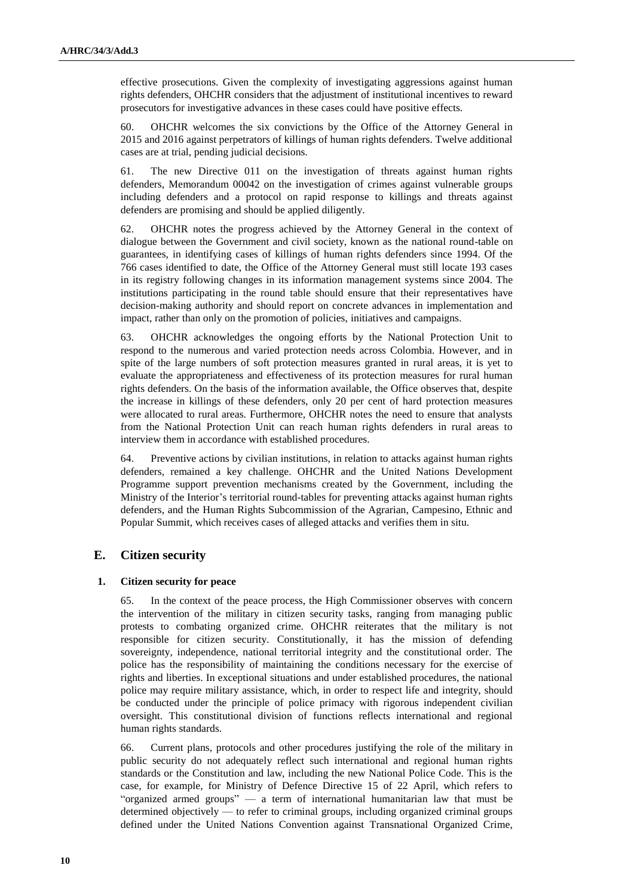effective prosecutions. Given the complexity of investigating aggressions against human rights defenders, OHCHR considers that the adjustment of institutional incentives to reward prosecutors for investigative advances in these cases could have positive effects.

60. OHCHR welcomes the six convictions by the Office of the Attorney General in 2015 and 2016 against perpetrators of killings of human rights defenders. Twelve additional cases are at trial, pending judicial decisions.

61. The new Directive 011 on the investigation of threats against human rights defenders, Memorandum 00042 on the investigation of crimes against vulnerable groups including defenders and a protocol on rapid response to killings and threats against defenders are promising and should be applied diligently.

62. OHCHR notes the progress achieved by the Attorney General in the context of dialogue between the Government and civil society, known as the national round-table on guarantees, in identifying cases of killings of human rights defenders since 1994. Of the 766 cases identified to date, the Office of the Attorney General must still locate 193 cases in its registry following changes in its information management systems since 2004. The institutions participating in the round table should ensure that their representatives have decision-making authority and should report on concrete advances in implementation and impact, rather than only on the promotion of policies, initiatives and campaigns.

63. OHCHR acknowledges the ongoing efforts by the National Protection Unit to respond to the numerous and varied protection needs across Colombia. However, and in spite of the large numbers of soft protection measures granted in rural areas, it is yet to evaluate the appropriateness and effectiveness of its protection measures for rural human rights defenders. On the basis of the information available, the Office observes that, despite the increase in killings of these defenders, only 20 per cent of hard protection measures were allocated to rural areas. Furthermore, OHCHR notes the need to ensure that analysts from the National Protection Unit can reach human rights defenders in rural areas to interview them in accordance with established procedures.

64. Preventive actions by civilian institutions, in relation to attacks against human rights defenders, remained a key challenge. OHCHR and the United Nations Development Programme support prevention mechanisms created by the Government, including the Ministry of the Interior's territorial round-tables for preventing attacks against human rights defenders, and the Human Rights Subcommission of the Agrarian, Campesino, Ethnic and Popular Summit, which receives cases of alleged attacks and verifies them in situ.

## **E. Citizen security**

#### **1. Citizen security for peace**

65. In the context of the peace process, the High Commissioner observes with concern the intervention of the military in citizen security tasks, ranging from managing public protests to combating organized crime. OHCHR reiterates that the military is not responsible for citizen security. Constitutionally, it has the mission of defending sovereignty, independence, national territorial integrity and the constitutional order. The police has the responsibility of maintaining the conditions necessary for the exercise of rights and liberties. In exceptional situations and under established procedures, the national police may require military assistance, which, in order to respect life and integrity, should be conducted under the principle of police primacy with rigorous independent civilian oversight. This constitutional division of functions reflects international and regional human rights standards.

66. Current plans, protocols and other procedures justifying the role of the military in public security do not adequately reflect such international and regional human rights standards or the Constitution and law, including the new National Police Code. This is the case, for example, for Ministry of Defence Directive 15 of 22 April, which refers to "organized armed groups" — a term of international humanitarian law that must be determined objectively — to refer to criminal groups, including organized criminal groups defined under the United Nations Convention against Transnational Organized Crime,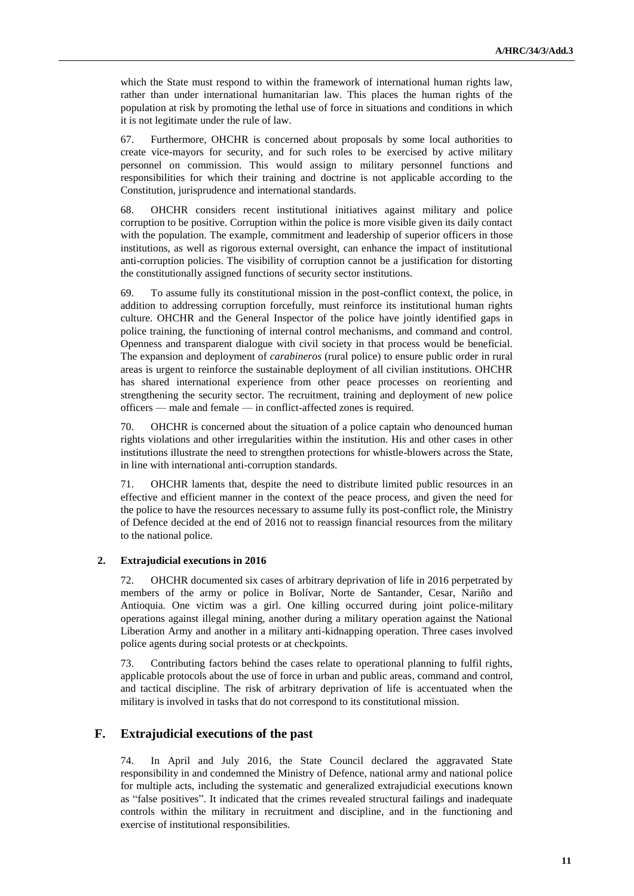which the State must respond to within the framework of international human rights law, rather than under international humanitarian law. This places the human rights of the population at risk by promoting the lethal use of force in situations and conditions in which it is not legitimate under the rule of law.

67. Furthermore, OHCHR is concerned about proposals by some local authorities to create vice-mayors for security, and for such roles to be exercised by active military personnel on commission. This would assign to military personnel functions and responsibilities for which their training and doctrine is not applicable according to the Constitution, jurisprudence and international standards.

68. OHCHR considers recent institutional initiatives against military and police corruption to be positive. Corruption within the police is more visible given its daily contact with the population. The example, commitment and leadership of superior officers in those institutions, as well as rigorous external oversight, can enhance the impact of institutional anti-corruption policies. The visibility of corruption cannot be a justification for distorting the constitutionally assigned functions of security sector institutions.

69. To assume fully its constitutional mission in the post-conflict context, the police, in addition to addressing corruption forcefully, must reinforce its institutional human rights culture. OHCHR and the General Inspector of the police have jointly identified gaps in police training, the functioning of internal control mechanisms, and command and control. Openness and transparent dialogue with civil society in that process would be beneficial. The expansion and deployment of *carabineros* (rural police) to ensure public order in rural areas is urgent to reinforce the sustainable deployment of all civilian institutions. OHCHR has shared international experience from other peace processes on reorienting and strengthening the security sector. The recruitment, training and deployment of new police officers — male and female — in conflict-affected zones is required.

70. OHCHR is concerned about the situation of a police captain who denounced human rights violations and other irregularities within the institution. His and other cases in other institutions illustrate the need to strengthen protections for whistle-blowers across the State, in line with international anti-corruption standards.

71. OHCHR laments that, despite the need to distribute limited public resources in an effective and efficient manner in the context of the peace process, and given the need for the police to have the resources necessary to assume fully its post-conflict role, the Ministry of Defence decided at the end of 2016 not to reassign financial resources from the military to the national police.

#### **2. Extrajudicial executions in 2016**

72. OHCHR documented six cases of arbitrary deprivation of life in 2016 perpetrated by members of the army or police in Bolívar, Norte de Santander, Cesar, Nariño and Antioquia. One victim was a girl. One killing occurred during joint police-military operations against illegal mining, another during a military operation against the National Liberation Army and another in a military anti-kidnapping operation. Three cases involved police agents during social protests or at checkpoints.

73. Contributing factors behind the cases relate to operational planning to fulfil rights, applicable protocols about the use of force in urban and public areas, command and control, and tactical discipline. The risk of arbitrary deprivation of life is accentuated when the military is involved in tasks that do not correspond to its constitutional mission.

## **F. Extrajudicial executions of the past**

74. In April and July 2016, the State Council declared the aggravated State responsibility in and condemned the Ministry of Defence, national army and national police for multiple acts, including the systematic and generalized extrajudicial executions known as "false positives". It indicated that the crimes revealed structural failings and inadequate controls within the military in recruitment and discipline, and in the functioning and exercise of institutional responsibilities.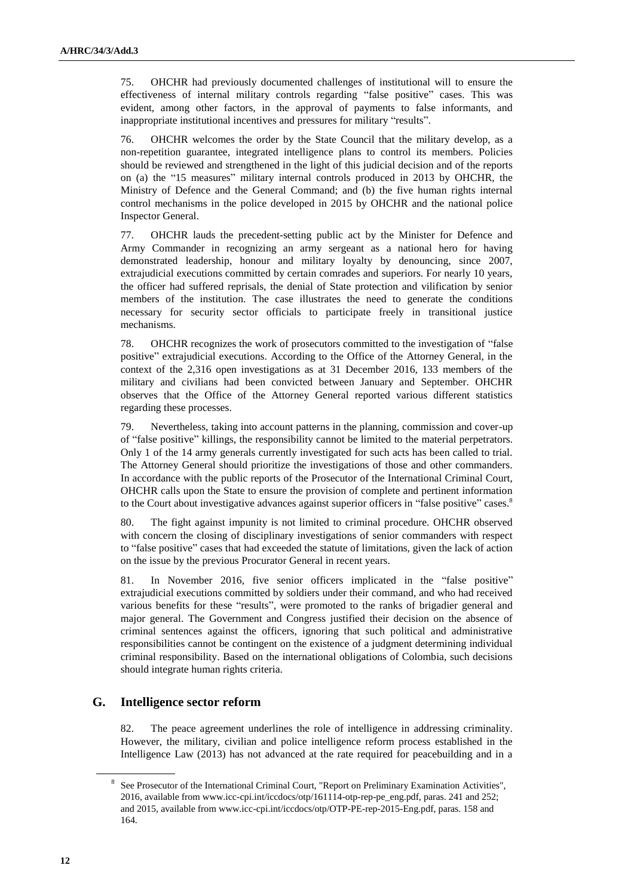75. OHCHR had previously documented challenges of institutional will to ensure the effectiveness of internal military controls regarding "false positive" cases. This was evident, among other factors, in the approval of payments to false informants, and inappropriate institutional incentives and pressures for military "results".

76. OHCHR welcomes the order by the State Council that the military develop, as a non-repetition guarantee, integrated intelligence plans to control its members. Policies should be reviewed and strengthened in the light of this judicial decision and of the reports on (a) the "15 measures" military internal controls produced in 2013 by OHCHR, the Ministry of Defence and the General Command; and (b) the five human rights internal control mechanisms in the police developed in 2015 by OHCHR and the national police Inspector General.

77. OHCHR lauds the precedent-setting public act by the Minister for Defence and Army Commander in recognizing an army sergeant as a national hero for having demonstrated leadership, honour and military loyalty by denouncing, since 2007, extrajudicial executions committed by certain comrades and superiors. For nearly 10 years, the officer had suffered reprisals, the denial of State protection and vilification by senior members of the institution. The case illustrates the need to generate the conditions necessary for security sector officials to participate freely in transitional justice mechanisms.

78. OHCHR recognizes the work of prosecutors committed to the investigation of "false positive" extrajudicial executions. According to the Office of the Attorney General, in the context of the 2,316 open investigations as at 31 December 2016, 133 members of the military and civilians had been convicted between January and September. OHCHR observes that the Office of the Attorney General reported various different statistics regarding these processes.

79. Nevertheless, taking into account patterns in the planning, commission and cover-up of "false positive" killings, the responsibility cannot be limited to the material perpetrators. Only 1 of the 14 army generals currently investigated for such acts has been called to trial. The Attorney General should prioritize the investigations of those and other commanders. In accordance with the public reports of the Prosecutor of the International Criminal Court, OHCHR calls upon the State to ensure the provision of complete and pertinent information to the Court about investigative advances against superior officers in "false positive" cases.<sup>8</sup>

80. The fight against impunity is not limited to criminal procedure. OHCHR observed with concern the closing of disciplinary investigations of senior commanders with respect to "false positive" cases that had exceeded the statute of limitations, given the lack of action on the issue by the previous Procurator General in recent years.

81. In November 2016, five senior officers implicated in the "false positive" extrajudicial executions committed by soldiers under their command, and who had received various benefits for these "results", were promoted to the ranks of brigadier general and major general. The Government and Congress justified their decision on the absence of criminal sentences against the officers, ignoring that such political and administrative responsibilities cannot be contingent on the existence of a judgment determining individual criminal responsibility. Based on the international obligations of Colombia, such decisions should integrate human rights criteria.

## **G. Intelligence sector reform**

82. The peace agreement underlines the role of intelligence in addressing criminality. However, the military, civilian and police intelligence reform process established in the Intelligence Law (2013) has not advanced at the rate required for peacebuilding and in a

<sup>&</sup>lt;sup>8</sup> See Prosecutor of the International Criminal Court, "Report on Preliminary Examination Activities", 2016, available from www.icc-cpi.int/iccdocs/otp/161114-otp-rep-pe\_eng.pdf, paras. 241 and 252; and 2015, available from www.icc-cpi.int/iccdocs/otp/OTP-PE-rep-2015-Eng.pdf, paras. 158 and 164.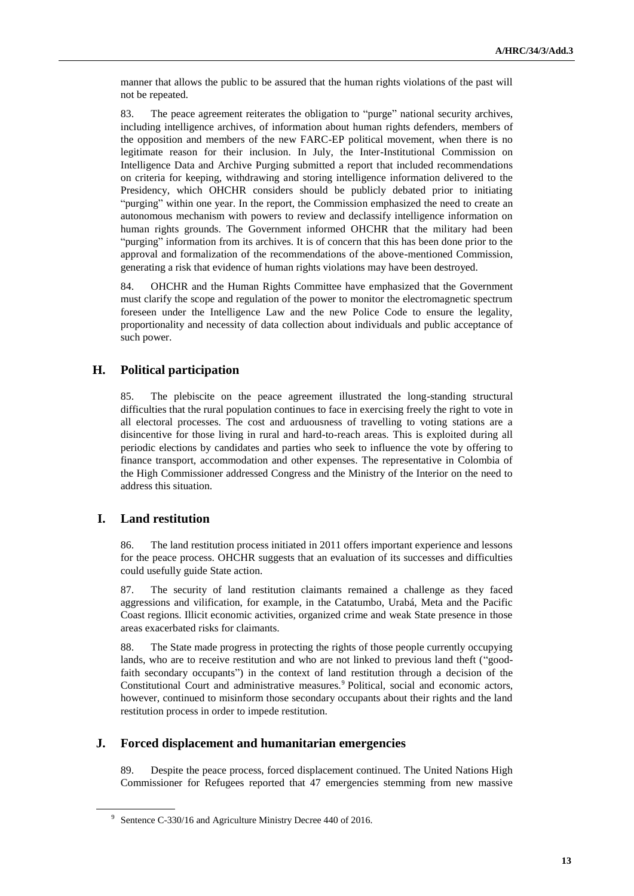manner that allows the public to be assured that the human rights violations of the past will not be repeated.

83. The peace agreement reiterates the obligation to "purge" national security archives, including intelligence archives, of information about human rights defenders, members of the opposition and members of the new FARC-EP political movement, when there is no legitimate reason for their inclusion. In July, the Inter-Institutional Commission on Intelligence Data and Archive Purging submitted a report that included recommendations on criteria for keeping, withdrawing and storing intelligence information delivered to the Presidency, which OHCHR considers should be publicly debated prior to initiating "purging" within one year. In the report, the Commission emphasized the need to create an autonomous mechanism with powers to review and declassify intelligence information on human rights grounds. The Government informed OHCHR that the military had been "purging" information from its archives. It is of concern that this has been done prior to the approval and formalization of the recommendations of the above-mentioned Commission, generating a risk that evidence of human rights violations may have been destroyed.

84. OHCHR and the Human Rights Committee have emphasized that the Government must clarify the scope and regulation of the power to monitor the electromagnetic spectrum foreseen under the Intelligence Law and the new Police Code to ensure the legality, proportionality and necessity of data collection about individuals and public acceptance of such power.

## **H. Political participation**

85. The plebiscite on the peace agreement illustrated the long-standing structural difficulties that the rural population continues to face in exercising freely the right to vote in all electoral processes. The cost and arduousness of travelling to voting stations are a disincentive for those living in rural and hard-to-reach areas. This is exploited during all periodic elections by candidates and parties who seek to influence the vote by offering to finance transport, accommodation and other expenses. The representative in Colombia of the High Commissioner addressed Congress and the Ministry of the Interior on the need to address this situation.

## **I. Land restitution**

86. The land restitution process initiated in 2011 offers important experience and lessons for the peace process. OHCHR suggests that an evaluation of its successes and difficulties could usefully guide State action.

87. The security of land restitution claimants remained a challenge as they faced aggressions and vilification, for example, in the Catatumbo, Urabá, Meta and the Pacific Coast regions. Illicit economic activities, organized crime and weak State presence in those areas exacerbated risks for claimants.

88. The State made progress in protecting the rights of those people currently occupying lands, who are to receive restitution and who are not linked to previous land theft ("goodfaith secondary occupants") in the context of land restitution through a decision of the Constitutional Court and administrative measures.<sup>9</sup> Political, social and economic actors, however, continued to misinform those secondary occupants about their rights and the land restitution process in order to impede restitution.

## **J. Forced displacement and humanitarian emergencies**

89. Despite the peace process, forced displacement continued. The United Nations High Commissioner for Refugees reported that 47 emergencies stemming from new massive

<sup>&</sup>lt;sup>9</sup> Sentence C-330/16 and Agriculture Ministry Decree 440 of 2016.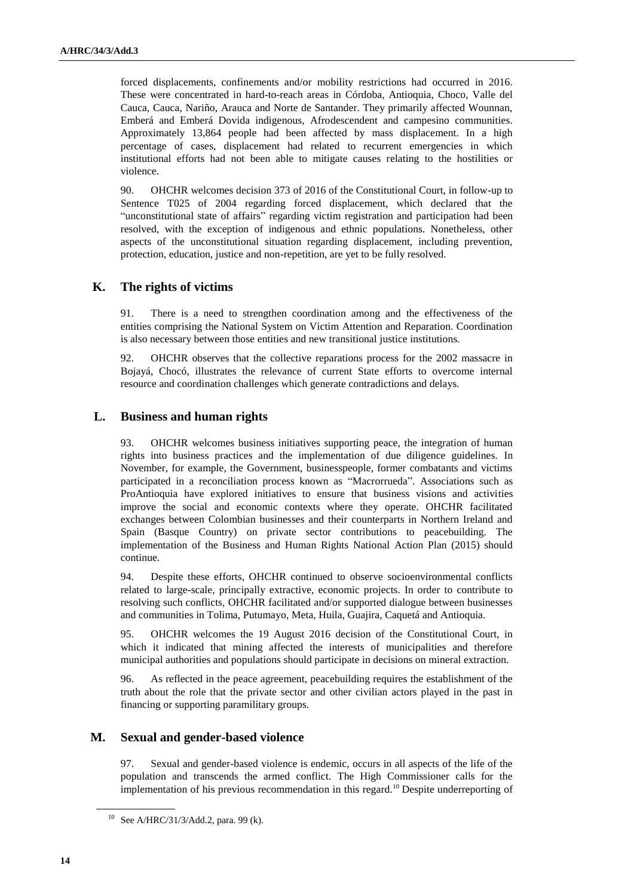forced displacements, confinements and/or mobility restrictions had occurred in 2016. These were concentrated in hard-to-reach areas in Córdoba, Antioquia, Choco, Valle del Cauca, Cauca, Nariño, Arauca and Norte de Santander. They primarily affected Wounnan, Emberá and Emberá Dovida indigenous, Afrodescendent and campesino communities. Approximately 13,864 people had been affected by mass displacement. In a high percentage of cases, displacement had related to recurrent emergencies in which institutional efforts had not been able to mitigate causes relating to the hostilities or violence.

90. OHCHR welcomes decision 373 of 2016 of the Constitutional Court, in follow-up to Sentence T025 of 2004 regarding forced displacement, which declared that the "unconstitutional state of affairs" regarding victim registration and participation had been resolved, with the exception of indigenous and ethnic populations. Nonetheless, other aspects of the unconstitutional situation regarding displacement, including prevention, protection, education, justice and non-repetition, are yet to be fully resolved.

## **K. The rights of victims**

91. There is a need to strengthen coordination among and the effectiveness of the entities comprising the National System on Victim Attention and Reparation. Coordination is also necessary between those entities and new transitional justice institutions.

92. OHCHR observes that the collective reparations process for the 2002 massacre in Bojayá, Chocó, illustrates the relevance of current State efforts to overcome internal resource and coordination challenges which generate contradictions and delays.

## **L. Business and human rights**

93. OHCHR welcomes business initiatives supporting peace, the integration of human rights into business practices and the implementation of due diligence guidelines. In November, for example, the Government, businesspeople, former combatants and victims participated in a reconciliation process known as "Macrorrueda". Associations such as ProAntioquia have explored initiatives to ensure that business visions and activities improve the social and economic contexts where they operate. OHCHR facilitated exchanges between Colombian businesses and their counterparts in Northern Ireland and Spain (Basque Country) on private sector contributions to peacebuilding. The implementation of the Business and Human Rights National Action Plan (2015) should continue.

94. Despite these efforts, OHCHR continued to observe socioenvironmental conflicts related to large-scale, principally extractive, economic projects. In order to contribute to resolving such conflicts, OHCHR facilitated and/or supported dialogue between businesses and communities in Tolima, Putumayo, Meta, Huila, Guajira, Caquetá and Antioquia.

95. OHCHR welcomes the 19 August 2016 decision of the Constitutional Court, in which it indicated that mining affected the interests of municipalities and therefore municipal authorities and populations should participate in decisions on mineral extraction.

96. As reflected in the peace agreement, peacebuilding requires the establishment of the truth about the role that the private sector and other civilian actors played in the past in financing or supporting paramilitary groups.

## **M. Sexual and gender-based violence**

97. Sexual and gender-based violence is endemic, occurs in all aspects of the life of the population and transcends the armed conflict. The High Commissioner calls for the implementation of his previous recommendation in this regard.<sup>10</sup> Despite underreporting of

<sup>10</sup> See A/HRC/31/3/Add.2, para. 99 (k).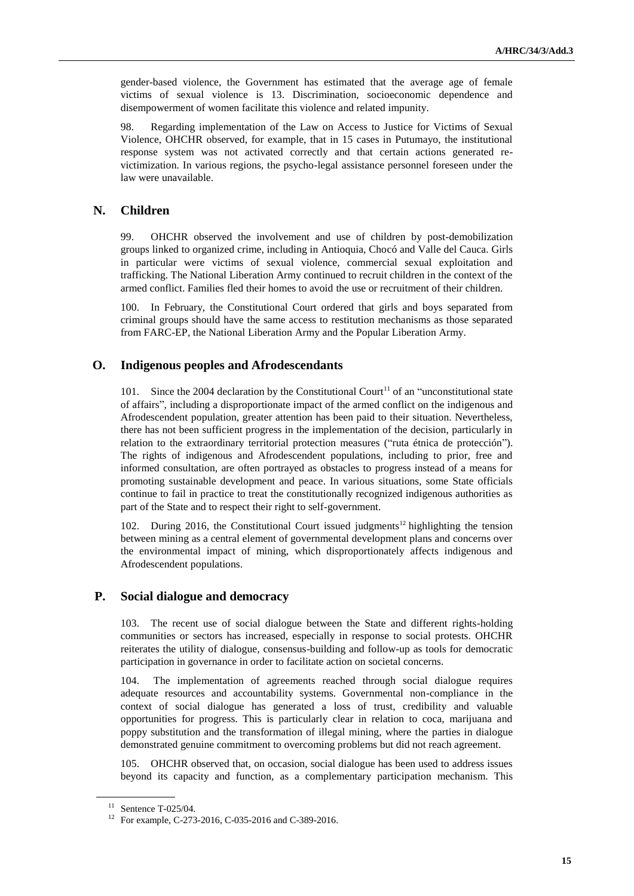gender-based violence, the Government has estimated that the average age of female victims of sexual violence is 13. Discrimination, socioeconomic dependence and disempowerment of women facilitate this violence and related impunity.

98. Regarding implementation of the Law on Access to Justice for Victims of Sexual Violence, OHCHR observed, for example, that in 15 cases in Putumayo, the institutional response system was not activated correctly and that certain actions generated revictimization. In various regions, the psycho-legal assistance personnel foreseen under the law were unavailable.

## **N. Children**

99. OHCHR observed the involvement and use of children by post-demobilization groups linked to organized crime, including in Antioquia, Chocó and Valle del Cauca. Girls in particular were victims of sexual violence, commercial sexual exploitation and trafficking. The National Liberation Army continued to recruit children in the context of the armed conflict. Families fled their homes to avoid the use or recruitment of their children.

100. In February, the Constitutional Court ordered that girls and boys separated from criminal groups should have the same access to restitution mechanisms as those separated from FARC-EP, the National Liberation Army and the Popular Liberation Army.

## **O. Indigenous peoples and Afrodescendants**

101. Since the 2004 declaration by the Constitutional Court<sup>11</sup> of an "unconstitutional state" of affairs", including a disproportionate impact of the armed conflict on the indigenous and Afrodescendent population, greater attention has been paid to their situation. Nevertheless, there has not been sufficient progress in the implementation of the decision, particularly in relation to the extraordinary territorial protection measures ("ruta étnica de protección"). The rights of indigenous and Afrodescendent populations, including to prior, free and informed consultation, are often portrayed as obstacles to progress instead of a means for promoting sustainable development and peace. In various situations, some State officials continue to fail in practice to treat the constitutionally recognized indigenous authorities as part of the State and to respect their right to self-government.

102. During 2016, the Constitutional Court issued judgments<sup>12</sup> highlighting the tension between mining as a central element of governmental development plans and concerns over the environmental impact of mining, which disproportionately affects indigenous and Afrodescendent populations.

#### **P. Social dialogue and democracy**

103. The recent use of social dialogue between the State and different rights-holding communities or sectors has increased, especially in response to social protests. OHCHR reiterates the utility of dialogue, consensus-building and follow-up as tools for democratic participation in governance in order to facilitate action on societal concerns.

104. The implementation of agreements reached through social dialogue requires adequate resources and accountability systems. Governmental non-compliance in the context of social dialogue has generated a loss of trust, credibility and valuable opportunities for progress. This is particularly clear in relation to coca, marijuana and poppy substitution and the transformation of illegal mining, where the parties in dialogue demonstrated genuine commitment to overcoming problems but did not reach agreement.

105. OHCHR observed that, on occasion, social dialogue has been used to address issues beyond its capacity and function, as a complementary participation mechanism. This

<sup>11</sup> Sentence T-025/04.

<sup>12</sup> For example, C-273-2016, C-035-2016 and C-389-2016.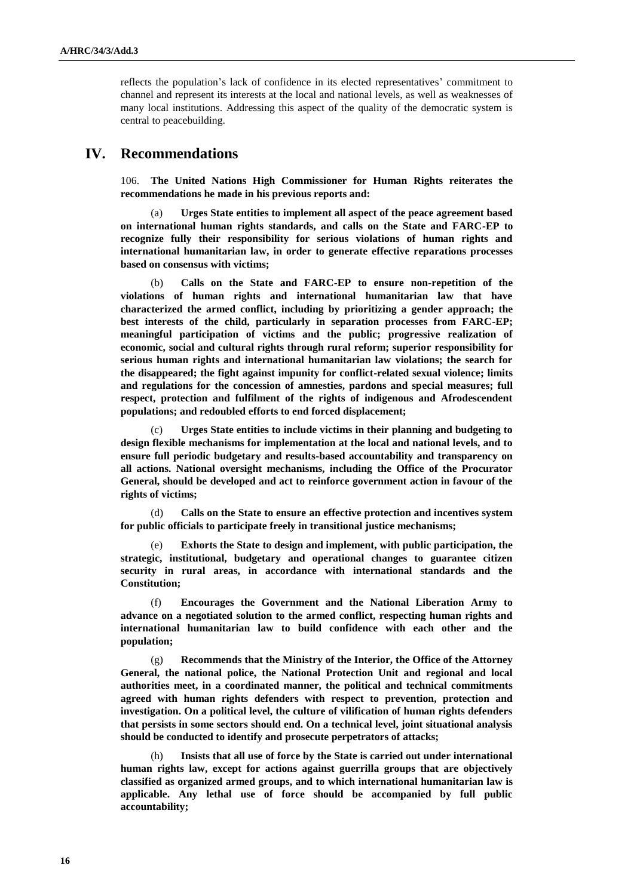reflects the population's lack of confidence in its elected representatives' commitment to channel and represent its interests at the local and national levels, as well as weaknesses of many local institutions. Addressing this aspect of the quality of the democratic system is central to peacebuilding.

## **IV. Recommendations**

106. **The United Nations High Commissioner for Human Rights reiterates the recommendations he made in his previous reports and:** 

(a) **Urges State entities to implement all aspect of the peace agreement based on international human rights standards, and calls on the State and FARC-EP to recognize fully their responsibility for serious violations of human rights and international humanitarian law, in order to generate effective reparations processes based on consensus with victims;**

(b) **Calls on the State and FARC-EP to ensure non-repetition of the violations of human rights and international humanitarian law that have characterized the armed conflict, including by prioritizing a gender approach; the best interests of the child, particularly in separation processes from FARC-EP; meaningful participation of victims and the public; progressive realization of economic, social and cultural rights through rural reform; superior responsibility for serious human rights and international humanitarian law violations; the search for the disappeared; the fight against impunity for conflict-related sexual violence; limits and regulations for the concession of amnesties, pardons and special measures; full respect, protection and fulfilment of the rights of indigenous and Afrodescendent populations; and redoubled efforts to end forced displacement;**

(c) **Urges State entities to include victims in their planning and budgeting to design flexible mechanisms for implementation at the local and national levels, and to ensure full periodic budgetary and results-based accountability and transparency on all actions. National oversight mechanisms, including the Office of the Procurator General, should be developed and act to reinforce government action in favour of the rights of victims;**

(d) **Calls on the State to ensure an effective protection and incentives system for public officials to participate freely in transitional justice mechanisms;** 

(e) **Exhorts the State to design and implement, with public participation, the strategic, institutional, budgetary and operational changes to guarantee citizen security in rural areas, in accordance with international standards and the Constitution;** 

(f) **Encourages the Government and the National Liberation Army to advance on a negotiated solution to the armed conflict, respecting human rights and international humanitarian law to build confidence with each other and the population;**

(g) **Recommends that the Ministry of the Interior, the Office of the Attorney General, the national police, the National Protection Unit and regional and local authorities meet, in a coordinated manner, the political and technical commitments agreed with human rights defenders with respect to prevention, protection and investigation. On a political level, the culture of vilification of human rights defenders that persists in some sectors should end. On a technical level, joint situational analysis should be conducted to identify and prosecute perpetrators of attacks;** 

(h) **Insists that all use of force by the State is carried out under international human rights law, except for actions against guerrilla groups that are objectively classified as organized armed groups, and to which international humanitarian law is applicable. Any lethal use of force should be accompanied by full public accountability;**